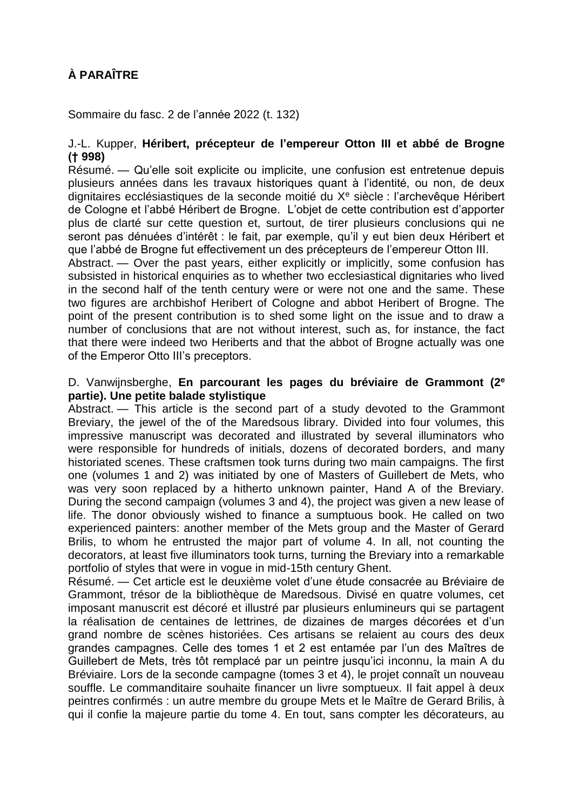# **À PARAÎTRE**

Sommaire du fasc. 2 de l'année 2022 (t. 132)

# J.-L. Kupper, **Héribert, précepteur de l'empereur Otton III et abbé de Brogne († 998)**

Résumé. — Qu'elle soit explicite ou implicite, une confusion est entretenue depuis plusieurs années dans les travaux historiques quant à l'identité, ou non, de deux dignitaires ecclésiastiques de la seconde moitié du  $X<sup>e</sup>$  siècle : l'archevêque Héribert de Cologne et l'abbé Héribert de Brogne. L'objet de cette contribution est d'apporter plus de clarté sur cette question et, surtout, de tirer plusieurs conclusions qui ne seront pas dénuées d'intérêt : le fait, par exemple, qu'il y eut bien deux Héribert et que l'abbé de Brogne fut effectivement un des précepteurs de l'empereur Otton III.

Abstract. — Over the past years, either explicitly or implicitly, some confusion has subsisted in historical enquiries as to whether two ecclesiastical dignitaries who lived in the second half of the tenth century were or were not one and the same. These two figures are archbishof Heribert of Cologne and abbot Heribert of Brogne. The point of the present contribution is to shed some light on the issue and to draw a number of conclusions that are not without interest, such as, for instance, the fact that there were indeed two Heriberts and that the abbot of Brogne actually was one of the Emperor Otto III's preceptors.

#### D. Vanwijnsberghe, **En parcourant les pages du bréviaire de Grammont (2<sup>e</sup> partie). Une petite balade stylistique**

Abstract. — This article is the second part of a study devoted to the Grammont Breviary, the jewel of the of the Maredsous library. Divided into four volumes, this impressive manuscript was decorated and illustrated by several illuminators who were responsible for hundreds of initials, dozens of decorated borders, and many historiated scenes. These craftsmen took turns during two main campaigns. The first one (volumes 1 and 2) was initiated by one of Masters of Guillebert de Mets, who was very soon replaced by a hitherto unknown painter, Hand A of the Breviary. During the second campaign (volumes 3 and 4), the project was given a new lease of life. The donor obviously wished to finance a sumptuous book. He called on two experienced painters: another member of the Mets group and the Master of Gerard Brilis, to whom he entrusted the major part of volume 4. In all, not counting the decorators, at least five illuminators took turns, turning the Breviary into a remarkable portfolio of styles that were in vogue in mid-15th century Ghent.

Résumé. — Cet article est le deuxième volet d'une étude consacrée au Bréviaire de Grammont, trésor de la bibliothèque de Maredsous. Divisé en quatre volumes, cet imposant manuscrit est décoré et illustré par plusieurs enlumineurs qui se partagent la réalisation de centaines de lettrines, de dizaines de marges décorées et d'un grand nombre de scènes historiées. Ces artisans se relaient au cours des deux grandes campagnes. Celle des tomes 1 et 2 est entamée par l'un des Maîtres de Guillebert de Mets, très tôt remplacé par un peintre jusqu'ici inconnu, la main A du Bréviaire. Lors de la seconde campagne (tomes 3 et 4), le projet connaît un nouveau souffle. Le commanditaire souhaite financer un livre somptueux. Il fait appel à deux peintres confirmés : un autre membre du groupe Mets et le Maître de Gerard Brilis, à qui il confie la majeure partie du tome 4. En tout, sans compter les décorateurs, au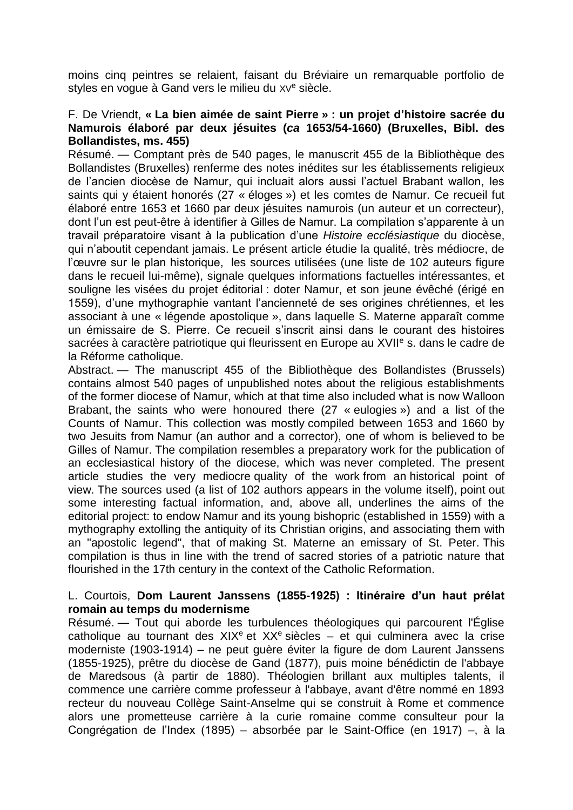moins cinq peintres se relaient, faisant du Bréviaire un remarquable portfolio de styles en vogue à Gand vers le milieu du XV<sup>e</sup> siècle.

#### F. De Vriendt, **« La bien aimée de saint Pierre » : un projet d'histoire sacrée du Namurois élaboré par deux jésuites (***ca* **1653/54-1660) (Bruxelles, Bibl. des Bollandistes, ms. 455)**

Résumé. — Comptant près de 540 pages, le manuscrit 455 de la Bibliothèque des Bollandistes (Bruxelles) renferme des notes inédites sur les établissements religieux de l'ancien diocèse de Namur, qui incluait alors aussi l'actuel Brabant wallon, les saints qui y étaient honorés (27 « éloges ») et les comtes de Namur. Ce recueil fut élaboré entre 1653 et 1660 par deux jésuites namurois (un auteur et un correcteur), dont l'un est peut-être à identifier à Gilles de Namur. La compilation s'apparente à un travail préparatoire visant à la publication d'une *Histoire ecclésiastique* du diocèse, qui n'aboutit cependant jamais. Le présent article étudie la qualité, très médiocre, de l'œuvre sur le plan historique, les sources utilisées (une liste de 102 auteurs figure dans le recueil lui-même), signale quelques informations factuelles intéressantes, et souligne les visées du projet éditorial : doter Namur, et son jeune évêché (érigé en 1559), d'une mythographie vantant l'ancienneté de ses origines chrétiennes, et les associant à une « légende apostolique », dans laquelle S. Materne apparaît comme un émissaire de S. Pierre. Ce recueil s'inscrit ainsi dans le courant des histoires sacrées à caractère patriotique qui fleurissent en Europe au XVII<sup>e</sup> s. dans le cadre de la Réforme catholique.

Abstract. — The manuscript 455 of the Bibliothèque des Bollandistes (Brussels) contains almost 540 pages of unpublished notes about the religious establishments of the former diocese of Namur, which at that time also included what is now Walloon Brabant, the saints who were honoured there (27 « eulogies ») and a list of the Counts of Namur. This collection was mostly compiled between 1653 and 1660 by two Jesuits from Namur (an author and a corrector), one of whom is believed to be Gilles of Namur. The compilation resembles a preparatory work for the publication of an ecclesiastical history of the diocese, which was never completed. The present article studies the very mediocre quality of the work from an historical point of view. The sources used (a list of 102 authors appears in the volume itself), point out some interesting factual information, and, above all, underlines the aims of the editorial project: to endow Namur and its young bishopric (established in 1559) with a mythography extolling the antiquity of its Christian origins, and associating them with an "apostolic legend", that of making St. Materne an emissary of St. Peter. This compilation is thus in line with the trend of sacred stories of a patriotic nature that flourished in the 17th century in the context of the Catholic Reformation.

## L. Courtois, **Dom Laurent Janssens (1855-1925) : Itinéraire d'un haut prélat romain au temps du modernisme**

Résumé. — Tout qui aborde les turbulences théologiques qui parcourent l'Église catholique au tournant des  $XIX^e$  et  $XX^e$  siècles – et qui culminera avec la crise moderniste (1903-1914) – ne peut guère éviter la figure de dom Laurent Janssens (1855-1925), prêtre du diocèse de Gand (1877), puis moine bénédictin de l'abbaye de Maredsous (à partir de 1880). Théologien brillant aux multiples talents, il commence une carrière comme professeur à l'abbaye, avant d'être nommé en 1893 recteur du nouveau Collège Saint-Anselme qui se construit à Rome et commence alors une prometteuse carrière à la curie romaine comme consulteur pour la Congrégation de l'Index (1895) – absorbée par le Saint-Office (en 1917) –, à la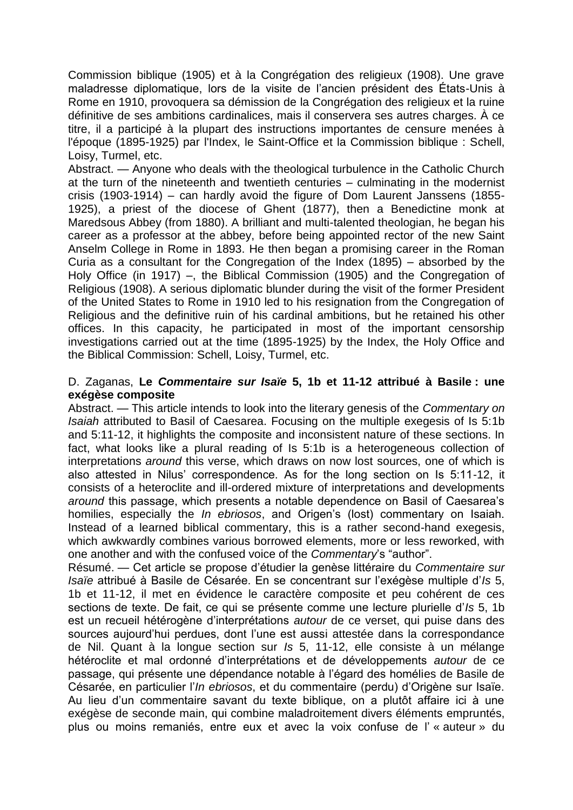Commission biblique (1905) et à la Congrégation des religieux (1908). Une grave maladresse diplomatique, lors de la visite de l'ancien président des États-Unis à Rome en 1910, provoquera sa démission de la Congrégation des religieux et la ruine définitive de ses ambitions cardinalices, mais il conservera ses autres charges. À ce titre, il a participé à la plupart des instructions importantes de censure menées à l'époque (1895-1925) par l'Index, le Saint-Office et la Commission biblique : Schell, Loisy, Turmel, etc.

Abstract. — Anyone who deals with the theological turbulence in the Catholic Church at the turn of the nineteenth and twentieth centuries – culminating in the modernist crisis (1903-1914) – can hardly avoid the figure of Dom Laurent Janssens (1855- 1925), a priest of the diocese of Ghent (1877), then a Benedictine monk at Maredsous Abbey (from 1880). A brilliant and multi-talented theologian, he began his career as a professor at the abbey, before being appointed rector of the new Saint Anselm College in Rome in 1893. He then began a promising career in the Roman Curia as a consultant for the Congregation of the Index (1895) – absorbed by the Holy Office (in 1917) –, the Biblical Commission (1905) and the Congregation of Religious (1908). A serious diplomatic blunder during the visit of the former President of the United States to Rome in 1910 led to his resignation from the Congregation of Religious and the definitive ruin of his cardinal ambitions, but he retained his other offices. In this capacity, he participated in most of the important censorship investigations carried out at the time (1895-1925) by the Index, the Holy Office and the Biblical Commission: Schell, Loisy, Turmel, etc.

#### D. Zaganas, **Le** *Commentaire sur Isaïe* **5, 1b et 11-12 attribué à Basile : une exégèse composite**

Abstract. — This article intends to look into the literary genesis of the *Commentary on Isaiah* attributed to Basil of Caesarea. Focusing on the multiple exegesis of Is 5:1b and 5:11-12, it highlights the composite and inconsistent nature of these sections. In fact, what looks like a plural reading of Is 5:1b is a heterogeneous collection of interpretations *around* this verse, which draws on now lost sources, one of which is also attested in Nilus' correspondence. As for the long section on Is 5:11-12, it consists of a heteroclite and ill-ordered mixture of interpretations and developments *around* this passage, which presents a notable dependence on Basil of Caesarea's homilies, especially the *In ebriosos*, and Origen's (lost) commentary on Isaiah. Instead of a learned biblical commentary, this is a rather second-hand exegesis, which awkwardly combines various borrowed elements, more or less reworked, with one another and with the confused voice of the *Commentary*'s "author".

Résumé. — Cet article se propose d'étudier la genèse littéraire du *Commentaire sur Isaïe* attribué à Basile de Césarée. En se concentrant sur l'exégèse multiple d'*Is* 5, 1b et 11-12, il met en évidence le caractère composite et peu cohérent de ces sections de texte. De fait, ce qui se présente comme une lecture plurielle d'*Is* 5, 1b est un recueil hétérogène d'interprétations *autour* de ce verset, qui puise dans des sources aujourd'hui perdues, dont l'une est aussi attestée dans la correspondance de Nil. Quant à la longue section sur *Is* 5, 11-12, elle consiste à un mélange hétéroclite et mal ordonné d'interprétations et de développements *autour* de ce passage, qui présente une dépendance notable à l'égard des homélies de Basile de Césarée, en particulier l'*In ebriosos*, et du commentaire (perdu) d'Origène sur Isaïe. Au lieu d'un commentaire savant du texte biblique, on a plutôt affaire ici à une exégèse de seconde main, qui combine maladroitement divers éléments empruntés, plus ou moins remaniés, entre eux et avec la voix confuse de l' « auteur » du